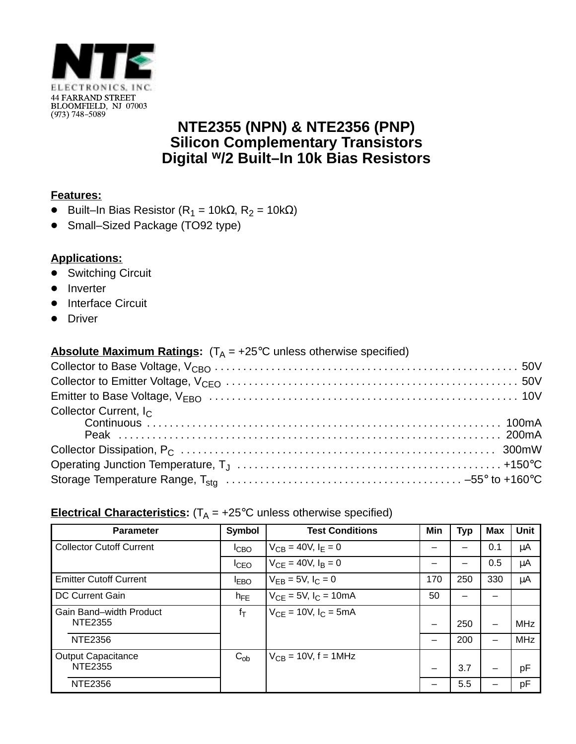

## **NTE2355 (NPN) & NTE2356 (PNP) Silicon Complementary Transistors Digital w/2 Built–In 10k Bias Resistors**

#### **Features:**

- Built–In Bias Resistor (R<sub>1</sub> = 10kΩ, R<sub>2</sub> = 10kΩ)
- Small–Sized Package (TO92 type)

### **Applications:**

- Switching Circuit
- Inverter
- Interface Circuit
- Driver

### **Absolute Maximum Ratings:**  $(T_A = +25^{\circ}C$  unless otherwise specified)

| Collector Current, I <sub>C</sub> |  |
|-----------------------------------|--|
|                                   |  |
|                                   |  |
|                                   |  |

# **Electrical Characteristics:**  $(T_A = +25^{\circ}C$  unless otherwise specified)

| <b>Parameter</b>                     | <b>Symbol</b> | <b>Test Conditions</b>       | Min | <b>Typ</b> | <b>Max</b> | Unit       |
|--------------------------------------|---------------|------------------------------|-----|------------|------------|------------|
| <b>Collector Cutoff Current</b>      | <b>ICBO</b>   | $V_{CB} = 40V, I_F = 0$      |     |            | 0.1        | μA         |
|                                      | <b>I</b> CEO  | $V_{CE} = 40V, I_B = 0$      |     |            | 0.5        | μA         |
| <b>Emitter Cutoff Current</b>        | <b>IEBO</b>   | $V_{FB} = 5V, I_C = 0$       | 170 | 250        | 330        | μA         |
| <b>DC Current Gain</b>               | $h_{FE}$      | $V_{CE} = 5V$ , $I_C = 10mA$ | 50  |            |            |            |
| Gain Band-width Product<br>NTE2355   | $f_T$         | $V_{CF}$ = 10V, $I_C$ = 5mA  |     | 250        | -          | <b>MHz</b> |
| <b>NTE2356</b>                       |               |                              |     | 200        | -          | <b>MHz</b> |
| <b>Output Capacitance</b><br>NTE2355 | $C_{ob}$      | $V_{CB}$ = 10V, f = 1MHz     |     | 3.7        |            | pF         |
| NTE2356                              |               |                              |     | 5.5        |            | pF         |